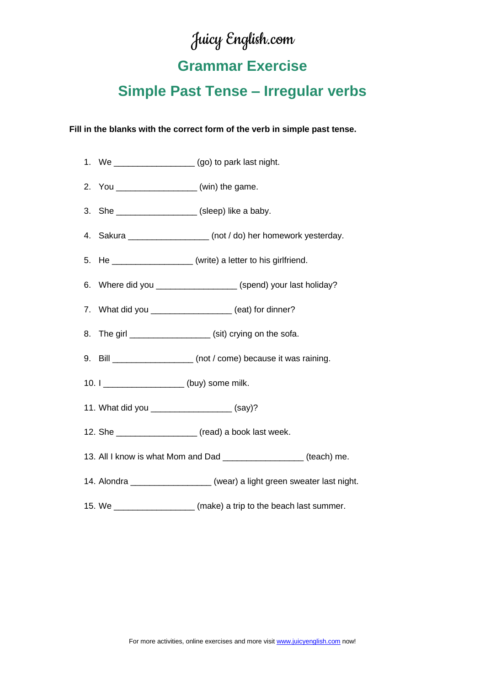# Juicy English.com

## **Grammar Exercise**

## **Simple Past Tense – Irregular verbs**

#### **Fill in the blanks with the correct form of the verb in simple past tense.**



15. We \_\_\_\_\_\_\_\_\_\_\_\_\_\_\_\_\_\_\_\_\_(make) a trip to the beach last summer.